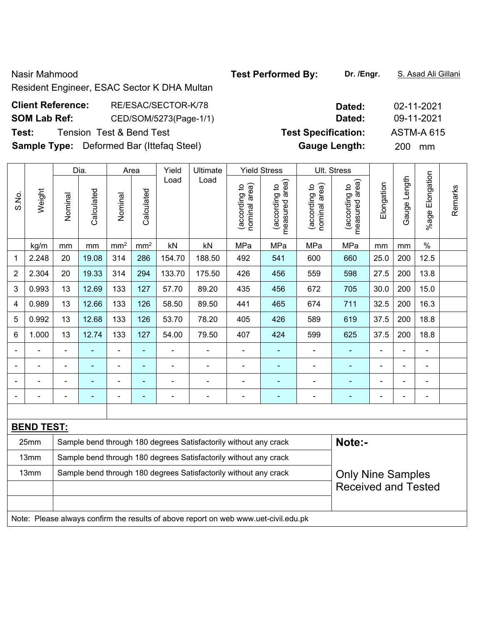Nasir Mahmood **Test Performed By: Dr. /Engr.** S. Asad Ali Gillani

Resident Engineer, ESAC Sector K DHA Multan

| <b>Client Reference:</b> | RE/ESAC/SECTOR-K/78                              | Dated:                     | 02-11-2021        |
|--------------------------|--------------------------------------------------|----------------------------|-------------------|
| <b>SOM Lab Ref:</b>      | CED/SOM/5273(Page-1/1)                           | Dated:                     | 09-11-2021        |
| Test:                    | <b>Tension Test &amp; Bend Test</b>              | <b>Test Specification:</b> | <b>ASTM-A 615</b> |
|                          | <b>Sample Type:</b> Deformed Bar (Ittefag Steel) | <b>Gauge Length:</b>       | <b>200</b><br>mm  |

|                |                   |                | Dia.                                                                       |                              | Area                     | Yield  | Ultimate                                                         |                                | <b>Yield Stress</b>             |                                | Ult. Stress                     |                |                |                 |         |
|----------------|-------------------|----------------|----------------------------------------------------------------------------|------------------------------|--------------------------|--------|------------------------------------------------------------------|--------------------------------|---------------------------------|--------------------------------|---------------------------------|----------------|----------------|-----------------|---------|
| S.No.          | Weight            | Nominal        | Calculated                                                                 | Nominal                      | Calculated               | Load   | Load                                                             | nominal area)<br>(according to | measured area)<br>(according to | nominal area)<br>(according to | measured area)<br>(according to | Elongation     | Gauge Length   | %age Elongation | Remarks |
|                | kg/m              | mm             | mm                                                                         | mm <sup>2</sup>              | mm <sup>2</sup>          | kN     | kN                                                               | MPa                            | MPa                             | MPa                            | MPa                             | mm             | mm             | $\%$            |         |
| 1              | 2.248             | 20             | 19.08                                                                      | 314                          | 286                      | 154.70 | 188.50                                                           | 492                            | 541                             | 600                            | 660                             | 25.0           | 200            | 12.5            |         |
| $\overline{2}$ | 2.304             | 20             | 19.33                                                                      | 314                          | 294                      | 133.70 | 175.50                                                           | 426                            | 456                             | 559                            | 598                             | 27.5           | 200            | 13.8            |         |
| 3              | 0.993             | 13             | 12.69                                                                      | 133                          | 127                      | 57.70  | 89.20                                                            | 435                            | 456                             | 672                            | 705                             | 30.0           | 200            | 15.0            |         |
| 4              | 0.989             | 13             | 12.66                                                                      | 133                          | 126                      | 58.50  | 89.50                                                            | 441                            | 465                             | 674                            | 711                             | 32.5           | 200            | 16.3            |         |
| 5              | 0.992             | 13             | 12.68                                                                      | 133                          | 126                      | 53.70  | 78.20                                                            | 405                            | 426                             | 589                            | 619                             | 37.5           | 200            | 18.8            |         |
| 6              | 1.000             | 13             | 12.74                                                                      | 133                          | 127                      | 54.00  | 79.50                                                            | 407                            | 424                             | 599                            | 625                             | 37.5           | 200            | 18.8            |         |
|                |                   | $\blacksquare$ | $\blacksquare$                                                             | $\qquad \qquad \blacksquare$ | $\blacksquare$           |        |                                                                  | $\blacksquare$                 | ۰                               | ۰                              |                                 | $\blacksquare$ | $\blacksquare$ | $\blacksquare$  |         |
|                |                   | $\blacksquare$ | $\blacksquare$                                                             | $\blacksquare$               | ÷                        |        |                                                                  | $\blacksquare$                 | ۰                               | ۰                              |                                 |                | $\blacksquare$ | $\blacksquare$  |         |
|                |                   | $\blacksquare$ | $\blacksquare$                                                             | $\blacksquare$               | $\overline{\phantom{a}}$ |        |                                                                  | $\blacksquare$                 | $\overline{\phantom{0}}$        | -                              |                                 |                | $\overline{a}$ | $\overline{a}$  |         |
|                |                   |                |                                                                            | $\blacksquare$               | $\blacksquare$           |        |                                                                  | $\blacksquare$                 | ٠                               |                                | $\blacksquare$                  |                |                | $\blacksquare$  |         |
|                |                   |                |                                                                            |                              |                          |        |                                                                  |                                |                                 |                                |                                 |                |                |                 |         |
|                | <b>BEND TEST:</b> |                |                                                                            |                              |                          |        |                                                                  |                                |                                 |                                |                                 |                |                |                 |         |
|                | 25mm              |                | Note:-<br>Sample bend through 180 degrees Satisfactorily without any crack |                              |                          |        |                                                                  |                                |                                 |                                |                                 |                |                |                 |         |
|                | 13mm              |                |                                                                            |                              |                          |        | Sample bend through 180 degrees Satisfactorily without any crack |                                |                                 |                                |                                 |                |                |                 |         |
|                | 13mm              |                |                                                                            |                              |                          |        | Sample bend through 180 degrees Satisfactorily without any crack |                                |                                 |                                | <b>Only Nine Samples</b>        |                |                |                 |         |
|                |                   |                |                                                                            |                              |                          |        |                                                                  |                                |                                 |                                | <b>Received and Tested</b>      |                |                |                 |         |

Note: Please always confirm the results of above report on web www.uet-civil.edu.pk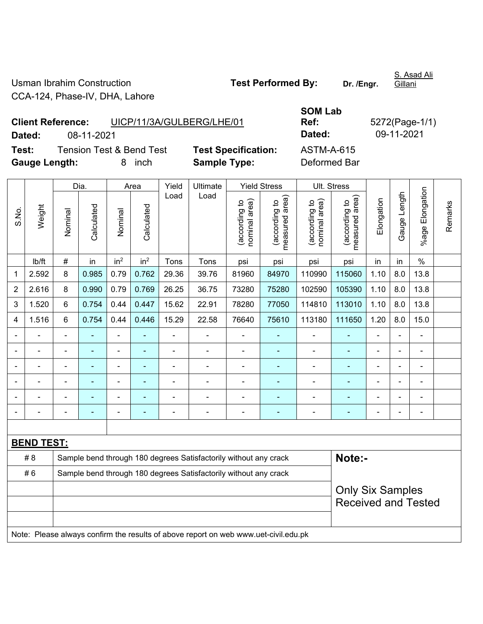Usman Ibrahim Construction **Test Performed By:** Dr. /Engr. CCA-124, Phase-IV, DHA, Lahore

S. Asad Ali Gillani

| <b>Client Reference:</b> | UICP/11/3A/GULBERG/LHE/01           |                            | Ref:              |
|--------------------------|-------------------------------------|----------------------------|-------------------|
| Dated:<br>08-11-2021     |                                     |                            | Dated:            |
| Test:                    | <b>Tension Test &amp; Bend Test</b> | <b>Test Specification:</b> | <b>ASTM-A-615</b> |
| Gauge Length:            | inch<br>8.                          | <b>Sample Type:</b>        | Deformed Bar      |

**SOM Lab Ref:** 5272(Page-1/1) **Dated:** 08-11-2021 **Dated:** 09-11-2021 **Test:** Tension Test & Bend Test **Test Specification:** ASTM-A-615

|                |                                                                                     |                | Dia.                                                             |                          | Area            | Yield          | Ultimate                                                         |                                | <b>Yield Stress</b>             |                                | Ult. Stress                     |                |                |                       |         |
|----------------|-------------------------------------------------------------------------------------|----------------|------------------------------------------------------------------|--------------------------|-----------------|----------------|------------------------------------------------------------------|--------------------------------|---------------------------------|--------------------------------|---------------------------------|----------------|----------------|-----------------------|---------|
| S.No.          | Weight                                                                              | Nominal        | Calculated                                                       | Nominal                  | Calculated      | Load           | Load                                                             | nominal area)<br>(according to | (according to<br>measured area) | (according to<br>nominal area) | (according to<br>measured area) | Elongation     | Gauge Length   | Elongation<br>$%$ age | Remarks |
|                | lb/ft                                                                               | $\#$           | in                                                               | in <sup>2</sup>          | in <sup>2</sup> | Tons           | Tons                                                             | psi                            | psi                             | psi                            | psi                             | in             | in             | $\%$                  |         |
| 1              | 2.592                                                                               | 8              | 0.985                                                            | 0.79                     | 0.762           | 29.36          | 39.76                                                            | 81960                          | 84970                           | 110990                         | 115060                          | 1.10           | 8.0            | 13.8                  |         |
| $\overline{2}$ | 2.616                                                                               | 8              | 0.990                                                            | 0.79                     | 0.769           | 26.25          | 36.75                                                            | 73280                          | 75280                           | 102590                         | 105390                          | 1.10           | 8.0            | 13.8                  |         |
| 3              | 1.520                                                                               | 6              | 0.754                                                            | 0.44                     | 0.447           | 15.62          | 22.91                                                            | 78280                          | 77050                           | 114810                         | 113010                          | 1.10           | 8.0            | 13.8                  |         |
| 4              | 1.516                                                                               | 6              | 0.754                                                            | 0.44                     | 0.446           | 15.29          | 22.58                                                            | 76640                          | 75610                           | 113180                         | 111650                          | 1.20           | 8.0            | 15.0                  |         |
|                | $\blacksquare$                                                                      | ä,             | $\blacksquare$                                                   | $\blacksquare$           |                 | $\blacksquare$ | ä,                                                               | $\blacksquare$                 |                                 | $\blacksquare$                 | $\blacksquare$                  | $\blacksquare$ |                | $\blacksquare$        |         |
|                | $\blacksquare$                                                                      | $\blacksquare$ | $\blacksquare$                                                   | $\blacksquare$           | ÷               | $\frac{1}{2}$  | ÷,                                                               | $\blacksquare$                 | $\blacksquare$                  | $\blacksquare$                 | ÷                               | $\blacksquare$ |                | $\blacksquare$        |         |
|                |                                                                                     |                |                                                                  | $\blacksquare$           | $\blacksquare$  |                | $\blacksquare$                                                   | $\blacksquare$                 | $\blacksquare$                  | $\blacksquare$                 | ۰                               | $\blacksquare$ |                | $\blacksquare$        |         |
|                |                                                                                     |                |                                                                  | ä,                       |                 |                |                                                                  | $\blacksquare$                 |                                 |                                | ÷                               |                |                | $\blacksquare$        |         |
|                |                                                                                     | $\blacksquare$ |                                                                  | $\blacksquare$           |                 |                | $\blacksquare$                                                   | $\blacksquare$                 | ۰                               | $\blacksquare$                 | ۰                               | $\blacksquare$ | $\blacksquare$ | $\blacksquare$        |         |
| ۰              |                                                                                     | $\blacksquare$ | $\blacksquare$                                                   | $\overline{\phantom{0}}$ |                 | $\blacksquare$ | $\overline{a}$                                                   | $\blacksquare$                 | $\blacksquare$                  | $\overline{\phantom{a}}$       | $\blacksquare$                  | $\blacksquare$ | $\blacksquare$ | $\blacksquare$        |         |
|                |                                                                                     |                |                                                                  |                          |                 |                |                                                                  |                                |                                 |                                |                                 |                |                |                       |         |
|                | <b>BEND TEST:</b>                                                                   |                |                                                                  |                          |                 |                |                                                                  |                                |                                 |                                |                                 |                |                |                       |         |
|                | # 8                                                                                 |                |                                                                  |                          |                 |                | Sample bend through 180 degrees Satisfactorily without any crack |                                |                                 |                                | Note:-                          |                |                |                       |         |
|                | #6                                                                                  |                | Sample bend through 180 degrees Satisfactorily without any crack |                          |                 |                |                                                                  |                                |                                 |                                |                                 |                |                |                       |         |
|                |                                                                                     |                | <b>Only Six Samples</b><br><b>Received and Tested</b>            |                          |                 |                |                                                                  |                                |                                 |                                |                                 |                |                |                       |         |
|                |                                                                                     |                |                                                                  |                          |                 |                |                                                                  |                                |                                 |                                |                                 |                |                |                       |         |
|                |                                                                                     |                |                                                                  |                          |                 |                |                                                                  |                                |                                 |                                |                                 |                |                |                       |         |
|                | Note: Please always confirm the results of above report on web www.uet-civil.edu.pk |                |                                                                  |                          |                 |                |                                                                  |                                |                                 |                                |                                 |                |                |                       |         |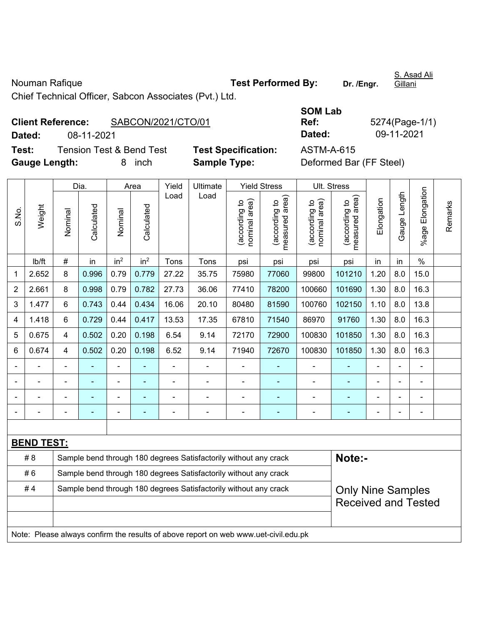Nouman Rafique **Test Performed By:** Dr. /Engr.

S. Asad Ali Gillani

Chief Technical Officer, Sabcon Associates (Pvt.) Ltd.

## **Client Reference:** SABCON/2021/CTO/01 **Dated:** 08-11-2021 **Dated:** 09-11-2021 **Test:** Tension Test & Bend Test **Test Specification:** ASTM-A-615

**SOM Lab Ref:** 5274(Page-1/1)

**Gauge Length:** 8 inch **Sample Type:** Deformed Bar (FF Steel)

|                |                                                                                     |                                                                                              | Dia.           |                          | Area            | Yield<br>Ultimate<br>Load<br>Load |                                                                  | <b>Yield Stress</b>            | Ult. Stress                     |                                |                                 |                |                          |                          |         |
|----------------|-------------------------------------------------------------------------------------|----------------------------------------------------------------------------------------------|----------------|--------------------------|-----------------|-----------------------------------|------------------------------------------------------------------|--------------------------------|---------------------------------|--------------------------------|---------------------------------|----------------|--------------------------|--------------------------|---------|
| S.No.          | Weight                                                                              | Nominal                                                                                      | Calculated     | Nominal                  | Calculated      |                                   |                                                                  | nominal area)<br>(according to | (according to<br>measured area) | nominal area)<br>(according to | measured area)<br>(according to | Elongation     | Gauge Length             | %age Elongation          | Remarks |
|                | Ib/ft                                                                               | $\#$                                                                                         | in             | in <sup>2</sup>          | in <sup>2</sup> | Tons                              | Tons                                                             | psi                            | psi                             | psi                            | psi                             | in             | in                       | $\frac{0}{0}$            |         |
| 1              | 2.652                                                                               | 8                                                                                            | 0.996          | 0.79                     | 0.779           | 27.22                             | 35.75                                                            | 75980                          | 77060                           | 99800                          | 101210                          | 1.20           | 8.0                      | 15.0                     |         |
| $\overline{2}$ | 2.661                                                                               | 8                                                                                            | 0.998          | 0.79                     | 0.782           | 27.73                             | 36.06                                                            | 77410                          | 78200                           | 100660                         | 101690                          | 1.30           | 8.0                      | 16.3                     |         |
| 3              | 1.477                                                                               | 6                                                                                            | 0.743          | 0.44                     | 0.434           | 16.06                             | 20.10                                                            | 80480                          | 81590                           | 100760                         | 102150                          | 1.10           | 8.0                      | 13.8                     |         |
| 4              | 1.418                                                                               | 6                                                                                            | 0.729          | 0.44                     | 0.417           | 13.53                             | 17.35                                                            | 67810                          | 71540                           | 86970                          | 91760                           | 1.30           | 8.0                      | 16.3                     |         |
| 5              | 0.675                                                                               | 4                                                                                            | 0.502          | 0.20                     | 0.198           | 6.54                              | 9.14                                                             | 72170                          | 72900                           | 100830                         | 101850                          | 1.30           | 8.0                      | 16.3                     |         |
| 6              | 0.674                                                                               | 4                                                                                            | 0.502          | 0.20                     | 0.198           | 6.52                              | 9.14                                                             | 71940                          | 72670                           | 100830                         | 101850                          | 1.30           | 8.0                      | 16.3                     |         |
|                |                                                                                     | ä,                                                                                           |                | $\blacksquare$           |                 | ÷.                                |                                                                  | $\blacksquare$                 | ÷                               | $\blacksquare$                 | $\blacksquare$                  | $\blacksquare$ | ä,                       | $\overline{\phantom{a}}$ |         |
|                |                                                                                     | $\blacksquare$                                                                               | $\blacksquare$ | $\overline{\phantom{a}}$ | $\blacksquare$  | $\overline{a}$                    | ä,                                                               | $\blacksquare$                 | ÷                               | $\blacksquare$                 | $\blacksquare$                  | $\overline{a}$ | $\overline{\phantom{0}}$ | $\overline{\phantom{a}}$ |         |
|                |                                                                                     | $\blacksquare$                                                                               |                | $\blacksquare$           | $\blacksquare$  | $\blacksquare$                    | $\blacksquare$                                                   | $\blacksquare$                 | ۰                               | ä,                             | $\blacksquare$                  | $\blacksquare$ |                          | $\blacksquare$           |         |
|                |                                                                                     | ä,                                                                                           |                | $\blacksquare$           | ÷,              | ÷                                 |                                                                  | $\blacksquare$                 | ÷                               | Ē,                             | ÷,                              |                |                          | $\blacksquare$           |         |
|                |                                                                                     |                                                                                              |                |                          |                 |                                   |                                                                  |                                |                                 |                                |                                 |                |                          |                          |         |
|                | <b>BEND TEST:</b>                                                                   |                                                                                              |                |                          |                 |                                   |                                                                  |                                |                                 |                                |                                 |                |                          |                          |         |
|                | # 8                                                                                 |                                                                                              |                |                          |                 |                                   | Sample bend through 180 degrees Satisfactorily without any crack |                                |                                 |                                | Note:-                          |                |                          |                          |         |
|                | #6                                                                                  |                                                                                              |                |                          |                 |                                   | Sample bend through 180 degrees Satisfactorily without any crack |                                |                                 |                                |                                 |                |                          |                          |         |
|                | #4                                                                                  | Sample bend through 180 degrees Satisfactorily without any crack<br><b>Only Nine Samples</b> |                |                          |                 |                                   |                                                                  |                                |                                 |                                |                                 |                |                          |                          |         |
|                |                                                                                     |                                                                                              |                |                          |                 |                                   |                                                                  |                                |                                 |                                | <b>Received and Tested</b>      |                |                          |                          |         |
|                |                                                                                     |                                                                                              |                |                          |                 |                                   |                                                                  |                                |                                 |                                |                                 |                |                          |                          |         |
|                | Note: Please always confirm the results of above report on web www.uet-civil.edu.pk |                                                                                              |                |                          |                 |                                   |                                                                  |                                |                                 |                                |                                 |                |                          |                          |         |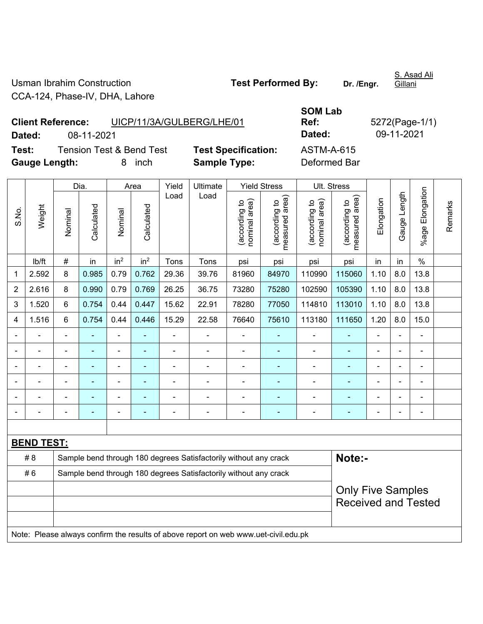Usman Ibrahim Construction **Test Performed By:** Dr. /Engr. CCA-124, Phase-IV, DHA, Lahore

S. Asad Ali Gillani

**Client Reference:** UICP/11/3A/GULBERG/LHE/01 **Dated:** 08-11-2021 **Dated:** 09-11-2021 **Test:** Tension Test & Bend Test **Test Specification:** ASTM-A-615 **Gauge Length:** 8 inch **Sample Type:** Deformed Bar

**SOM Lab Ref:** 5272(Page-1/1)

|                |                                                                                     |                | Dia.                     |                 | Area            | Yield | Ultimate                                                         |                                | <b>Yield Stress</b>             | Ult. Stress                    |                                   |                |                |                       |         |
|----------------|-------------------------------------------------------------------------------------|----------------|--------------------------|-----------------|-----------------|-------|------------------------------------------------------------------|--------------------------------|---------------------------------|--------------------------------|-----------------------------------|----------------|----------------|-----------------------|---------|
| S.No.          | Weight                                                                              | Nominal        | Calculated               | Nominal         | Calculated      | Load  | Load                                                             | (according to<br>nominal area) | (according to<br>measured area) | nominal area)<br>(according to | (according to  <br>measured area) | Elongation     | Gauge Length   | Elongation<br>$%$ age | Remarks |
|                | lb/ft                                                                               | $\#$           | in                       | in <sup>2</sup> | in <sup>2</sup> | Tons  | Tons                                                             | psi                            | psi                             | psi                            | psi                               | in             | in             | $\frac{0}{0}$         |         |
| 1              | 2.592                                                                               | 8              | 0.985                    | 0.79            | 0.762           | 29.36 | 39.76                                                            | 81960                          | 84970                           | 110990                         | 115060                            | 1.10           | 8.0            | 13.8                  |         |
| $\overline{2}$ | 2.616                                                                               | 8              | 0.990                    | 0.79            | 0.769           | 26.25 | 36.75                                                            | 73280                          | 75280                           | 102590                         | 105390                            | 1.10           | 8.0            | 13.8                  |         |
| 3              | 1.520                                                                               | 6              | 0.754                    | 0.44            | 0.447           | 15.62 | 22.91                                                            | 78280                          | 77050                           | 114810                         | 113010                            | 1.10           | 8.0            | 13.8                  |         |
| 4              | 1.516                                                                               | 6              | 0.754                    | 0.44            | 0.446           | 15.29 | 22.58                                                            | 76640                          | 75610                           | 113180                         | 111650                            | 1.20           | 8.0            | 15.0                  |         |
|                |                                                                                     | $\blacksquare$ |                          | ÷,              | $\blacksquare$  | ä,    | ÷,                                                               | L,                             | ÷                               | $\blacksquare$                 |                                   | L,             | $\blacksquare$ | ä,                    |         |
|                |                                                                                     | $\blacksquare$ | ÷,                       | $\blacksquare$  | $\blacksquare$  | ä,    | ÷,                                                               | $\blacksquare$                 | $\blacksquare$                  | $\blacksquare$                 | ÷                                 | ä,             | $\blacksquare$ | ÷,                    |         |
|                | $\blacksquare$                                                                      | $\blacksquare$ | ä,                       | $\blacksquare$  | $\blacksquare$  | L,    | ÷,                                                               | $\blacksquare$                 | ٠                               | $\blacksquare$                 | $\blacksquare$                    | $\overline{a}$ |                | ä,                    |         |
|                |                                                                                     |                |                          | $\blacksquare$  |                 | ä,    | $\blacksquare$                                                   |                                | ÷                               |                                |                                   |                |                | $\blacksquare$        |         |
|                |                                                                                     |                |                          | $\blacksquare$  |                 |       | $\blacksquare$                                                   |                                | $\blacksquare$                  |                                |                                   |                |                |                       |         |
|                |                                                                                     |                |                          |                 |                 |       |                                                                  |                                |                                 |                                |                                   |                |                |                       |         |
|                |                                                                                     |                |                          |                 |                 |       |                                                                  |                                |                                 |                                |                                   |                |                |                       |         |
|                | <b>BEND TEST:</b>                                                                   |                |                          |                 |                 |       |                                                                  |                                |                                 |                                |                                   |                |                |                       |         |
|                | # 8                                                                                 |                |                          |                 |                 |       | Sample bend through 180 degrees Satisfactorily without any crack |                                |                                 |                                | Note:-                            |                |                |                       |         |
|                | #6                                                                                  |                |                          |                 |                 |       | Sample bend through 180 degrees Satisfactorily without any crack |                                |                                 |                                |                                   |                |                |                       |         |
|                |                                                                                     |                | <b>Only Five Samples</b> |                 |                 |       |                                                                  |                                |                                 |                                |                                   |                |                |                       |         |
|                |                                                                                     |                |                          |                 |                 |       |                                                                  |                                |                                 |                                | <b>Received and Tested</b>        |                |                |                       |         |
|                |                                                                                     |                |                          |                 |                 |       |                                                                  |                                |                                 |                                |                                   |                |                |                       |         |
|                | Note: Please always confirm the results of above report on web www.uet-civil.edu.pk |                |                          |                 |                 |       |                                                                  |                                |                                 |                                |                                   |                |                |                       |         |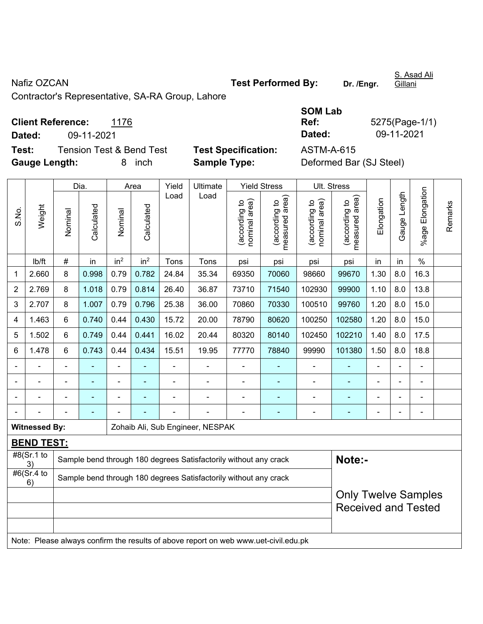Nafiz OZCAN **Nafiz OZCAN Test Performed By:** Dr. /Engr.

S. Asad Ali Gillani

Contractor's Representative, SA-RA Group, Lahore

| <b>Client Reference:</b> | 1176 |
|--------------------------|------|
|--------------------------|------|

**Test:** Tension Test & Bend Test **Test Specification:** ASTM-A-615 **Gauge Length:** 8 inch **Sample Type:** Deformed Bar (SJ Steel)

|        |                                  | <b>SOM Lab</b>         |
|--------|----------------------------------|------------------------|
|        | <b>Client Reference:</b><br>1176 | 5275(Page-1/1)<br>Ref: |
| Dated: | 09-11-2021                       | 09-11-2021<br>Dated:   |
| __     |                                  |                        |

|                |                                    |                                                                                     | Dia.           |                 | Area            | Yield | Ultimate                                                         |                                | <b>Yield Stress</b>                         |                               | Ult. Stress                                 |            |              |                       |         |
|----------------|------------------------------------|-------------------------------------------------------------------------------------|----------------|-----------------|-----------------|-------|------------------------------------------------------------------|--------------------------------|---------------------------------------------|-------------------------------|---------------------------------------------|------------|--------------|-----------------------|---------|
| S.No.          | Weight                             | Nominal                                                                             | Calculated     | Nominal         | Calculated      | Load  | Load                                                             | nominal area)<br>(according to | (according to<br>neasured area)<br>measured | nominal area)<br>according to | (according to<br>neasured area)<br>measured | Elongation | Gauge Length | Elongation<br>$%$ age | Remarks |
|                | lb/ft                              | $\#$                                                                                | in             | in <sup>2</sup> | in <sup>2</sup> | Tons  | Tons                                                             | psi                            | psi                                         | psi                           | psi                                         | in         | in           | $\%$                  |         |
| 1              | 2.660                              | 8                                                                                   | 0.998          | 0.79            | 0.782           | 24.84 | 35.34                                                            | 69350                          | 70060                                       | 98660                         | 99670                                       | 1.30       | 8.0          | 16.3                  |         |
| $\overline{2}$ | 2.769                              | 8                                                                                   | 1.018          | 0.79            | 0.814           | 26.40 | 36.87                                                            | 73710                          | 71540                                       | 102930                        | 99900                                       | 1.10       | 8.0          | 13.8                  |         |
| 3              | 2.707                              | 8                                                                                   | 1.007          | 0.79            | 0.796           | 25.38 | 36.00                                                            | 70860                          | 70330                                       | 100510                        | 99760                                       | 1.20       | 8.0          | 15.0                  |         |
| 4              | 1.463                              | $6\phantom{1}$                                                                      | 0.740          | 0.44            | 0.430           | 15.72 | 20.00                                                            | 78790                          | 80620                                       | 100250                        | 102580                                      | 1.20       | 8.0          | 15.0                  |         |
| 5              | 1.502                              | 6                                                                                   | 0.749          | 0.44            | 0.441           | 16.02 | 20.44                                                            | 80320                          | 80140                                       | 102450                        | 102210                                      | 1.40       | 8.0          | 17.5                  |         |
| 6              | 1.478                              | 6                                                                                   | 0.743          | 0.44            | 0.434           | 15.51 | 19.95                                                            | 77770                          | 78840                                       | 99990                         | 101380                                      | 1.50       | 8.0          | 18.8                  |         |
|                |                                    | ä,                                                                                  |                | ä,              | ä,              |       |                                                                  |                                | $\blacksquare$                              | $\blacksquare$                | $\blacksquare$                              | ä,         |              |                       |         |
|                |                                    | ä,                                                                                  | ÷,             | ÷,              | ä,              | ä,    | $\blacksquare$                                                   | $\blacksquare$                 | $\blacksquare$                              | $\blacksquare$                | $\blacksquare$                              | ä,         |              | $\blacksquare$        |         |
|                |                                    | ä,                                                                                  | $\blacksquare$ | ä,              | ä,              |       | ä,                                                               | $\blacksquare$                 | $\blacksquare$                              | $\blacksquare$                | $\blacksquare$                              | ÷          |              | $\blacksquare$        |         |
|                |                                    |                                                                                     |                |                 |                 |       |                                                                  |                                |                                             | $\blacksquare$                |                                             | ä,         |              | $\blacksquare$        |         |
|                | <b>Witnessed By:</b>               |                                                                                     |                |                 |                 |       | Zohaib Ali, Sub Engineer, NESPAK                                 |                                |                                             |                               |                                             |            |              |                       |         |
|                | <b>BEND TEST:</b>                  |                                                                                     |                |                 |                 |       |                                                                  |                                |                                             |                               |                                             |            |              |                       |         |
|                | $\sqrt{\frac{48}{Sr}}$ .1 to<br>3) |                                                                                     |                |                 |                 |       | Sample bend through 180 degrees Satisfactorily without any crack |                                |                                             |                               | Note:-                                      |            |              |                       |         |
|                | #6(Sr.4 to<br>6)                   |                                                                                     |                |                 |                 |       | Sample bend through 180 degrees Satisfactorily without any crack |                                |                                             |                               |                                             |            |              |                       |         |
|                |                                    | <b>Only Twelve Samples</b>                                                          |                |                 |                 |       |                                                                  |                                |                                             |                               |                                             |            |              |                       |         |
|                |                                    |                                                                                     |                |                 |                 |       |                                                                  |                                |                                             |                               | <b>Received and Tested</b>                  |            |              |                       |         |
|                |                                    |                                                                                     |                |                 |                 |       |                                                                  |                                |                                             |                               |                                             |            |              |                       |         |
|                |                                    | Note: Please always confirm the results of above report on web www.uet-civil.edu.pk |                |                 |                 |       |                                                                  |                                |                                             |                               |                                             |            |              |                       |         |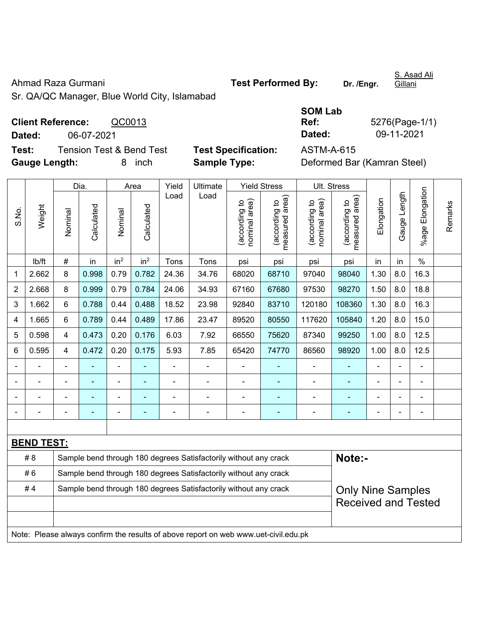Ahmad Raza Gurmani **Test Performed By:** Dr. /Engr.

S. Asad Ali Gillani

Sr. QA/QC Manager, Blue World City, Islamabad

| <b>Client Reference:</b> |            | QC0013                   |                            | Ref:       | 5276(Page-1/                |
|--------------------------|------------|--------------------------|----------------------------|------------|-----------------------------|
| Dated:                   | 06-07-2021 |                          |                            | Dated:     | 09-11-2021                  |
| Test:                    |            | Tension Test & Bend Test | <b>Test Specification:</b> | ASTM-A-615 |                             |
| <b>Gauge Length:</b>     |            | inch                     | <b>Sample Type:</b>        |            | Deformed Bar (Kamran Steel) |

| <b>Test Specification:</b> |
|----------------------------|
| <b>Sample Type:</b>        |

| <b>SOM Lab</b>    |                |
|-------------------|----------------|
| Ref:              | 5276(Page-1/1) |
| Dated:            | 09-11-2021     |
| <b>ASTM-A-615</b> |                |

|                                                                        |                   |                | Dia.       |                 | Area            | Yield          | Ultimate                                                                            |                                | <b>Yield Stress</b>             |                                | Ult. Stress                     |                            |                |                 | Remarks |  |
|------------------------------------------------------------------------|-------------------|----------------|------------|-----------------|-----------------|----------------|-------------------------------------------------------------------------------------|--------------------------------|---------------------------------|--------------------------------|---------------------------------|----------------------------|----------------|-----------------|---------|--|
| S.No.                                                                  | Weight            | Nominal        | Calculated | Nominal         | Calculated      | Load           | Load                                                                                | nominal area)<br>(according to | (according to<br>measured area) | nominal area)<br>(according to | (according to<br>measured area) | Elongation                 | Gauge Length   | %age Elongation |         |  |
|                                                                        | lb/ft             | #              | in         | in <sup>2</sup> | in <sup>2</sup> | Tons           | Tons                                                                                | psi                            | psi                             | psi                            | psi                             | in                         | in             | $\%$            |         |  |
| $\mathbf{1}$                                                           | 2.662             | 8              | 0.998      | 0.79            | 0.782           | 24.36          | 34.76                                                                               | 68020                          | 68710                           | 97040                          | 98040                           | 1.30                       | 8.0            | 16.3            |         |  |
| $\overline{2}$                                                         | 2.668             | 8              | 0.999      | 0.79            | 0.784           | 24.06          | 34.93                                                                               | 67160                          | 67680                           | 97530                          | 98270                           | 1.50                       | 8.0            | 18.8            |         |  |
| 3                                                                      | 1.662             | 6              | 0.788      | 0.44            | 0.488           | 18.52          | 23.98                                                                               | 92840                          | 83710                           | 120180                         | 108360                          | 1.30                       | 8.0            | 16.3            |         |  |
| 4                                                                      | 1.665             | 6              | 0.789      | 0.44            | 0.489           | 17.86          | 23.47                                                                               | 89520                          | 80550                           | 117620                         | 105840                          | 1.20                       | 8.0            | 15.0            |         |  |
| 5                                                                      | 0.598             | 4              | 0.473      | 0.20            | 0.176           | 6.03           | 7.92                                                                                | 66550                          | 75620                           | 87340                          | 99250                           | 1.00                       | 8.0            | 12.5            |         |  |
| $\,6$                                                                  | 0.595             | 4              | 0.472      | 0.20            | 0.175           | 5.93           | 7.85                                                                                | 65420                          | 74770                           | 86560                          | 98920                           | 1.00                       | 8.0            | 12.5            |         |  |
|                                                                        |                   | L.             |            | $\blacksquare$  |                 | $\blacksquare$ | $\blacksquare$                                                                      |                                | ٠                               | ä,                             |                                 | $\overline{\phantom{a}}$   |                | $\blacksquare$  |         |  |
|                                                                        |                   | $\blacksquare$ | ٠          | $\blacksquare$  | ÷               | $\blacksquare$ | $\blacksquare$                                                                      | $\blacksquare$                 | ä,                              | $\blacksquare$                 | ÷,                              | $\blacksquare$             | $\overline{a}$ | $\blacksquare$  |         |  |
|                                                                        |                   |                |            | $\blacksquare$  |                 |                | Ē,                                                                                  |                                |                                 | $\blacksquare$                 |                                 |                            |                |                 |         |  |
|                                                                        |                   |                |            |                 |                 |                | ۰                                                                                   | ۰                              | ۰                               | $\qquad \qquad \blacksquare$   |                                 |                            |                |                 |         |  |
|                                                                        |                   |                |            |                 |                 |                |                                                                                     |                                |                                 |                                |                                 |                            |                |                 |         |  |
|                                                                        | <b>BEND TEST:</b> |                |            |                 |                 |                |                                                                                     |                                |                                 |                                |                                 |                            |                |                 |         |  |
|                                                                        | # 8               |                |            |                 |                 |                | Sample bend through 180 degrees Satisfactorily without any crack                    |                                |                                 |                                | Note:-                          |                            |                |                 |         |  |
|                                                                        | #6                |                |            |                 |                 |                | Sample bend through 180 degrees Satisfactorily without any crack                    |                                |                                 |                                |                                 |                            |                |                 |         |  |
| #4<br>Sample bend through 180 degrees Satisfactorily without any crack |                   |                |            |                 |                 |                |                                                                                     |                                |                                 |                                | <b>Only Nine Samples</b>        |                            |                |                 |         |  |
|                                                                        |                   |                |            |                 |                 |                |                                                                                     |                                |                                 |                                |                                 | <b>Received and Tested</b> |                |                 |         |  |
|                                                                        |                   |                |            |                 |                 |                |                                                                                     |                                |                                 |                                |                                 |                            |                |                 |         |  |
|                                                                        |                   |                |            |                 |                 |                | Note: Please always confirm the results of above report on web www.uet-civil.edu.pk |                                |                                 |                                |                                 |                            |                |                 |         |  |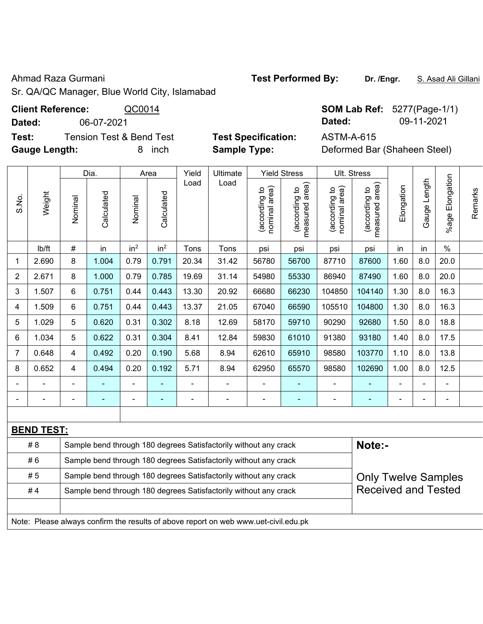## Ahmad Raza Gurmani **Test Performed By:** Dr. /Engr. **S. Asad Ali Gillani** Ahmad Raza Gurmani

Sr. QA/QC Manager, Blue World City, Islamabad

**Client Reference:**  $\frac{QCO014}{4}$  SOM Lab Ref:  $5277(Page-1/1)$ 

**Dated:** 06-07-2021 **Dated:** 09-11-2021

**Test:** Tension Test & Bend Test **Test Specification:** ASTM-A-615 **Gauge Length:** 8 inch **Sample Type:** Deformed Bar (Shaheen Steel)

|                | Weight            | Dia.    |                              | Area                                                             |                 | Yield          | Ultimate |                                | <b>Yield Stress</b>             |                                | Ult. Stress                        |                |                 |                          |         |
|----------------|-------------------|---------|------------------------------|------------------------------------------------------------------|-----------------|----------------|----------|--------------------------------|---------------------------------|--------------------------------|------------------------------------|----------------|-----------------|--------------------------|---------|
| S.No.          |                   | Nominal | Calculated                   | Nominal                                                          | Calculated      | Load           | Load     | nominal area)<br>(according to | measured area)<br>(according to | nominal area)<br>(according to | area)<br>(according to<br>measured | Elongation     | Length<br>Gauge | Elongation<br>$%$ agel   | Remarks |
|                | lb/ft             | #       | in                           | in <sup>2</sup>                                                  | in <sup>2</sup> | Tons           | Tons     | psi                            | psi                             | psi                            | psi                                | in             | in              | $\%$                     |         |
| 1              | 2.690             | 8       | 1.004                        | 0.79                                                             | 0.791           | 20.34          | 31.42    | 56780                          | 56700                           | 87710                          | 87600                              | 1.60           | 8.0             | 20.0                     |         |
| $\overline{2}$ | 2.671             | 8       | 1.000                        | 0.79                                                             | 0.785           | 19.69          | 31.14    | 54980                          | 55330                           | 86940                          | 87490                              | 1.60           | 8.0             | 20.0                     |         |
| 3              | 1.507             | 6       | 0.751                        | 0.44                                                             | 0.443           | 13.30          | 20.92    | 66680                          | 66230                           | 104850                         | 104140                             | 1.30           | 8.0             | 16.3                     |         |
| 4              | 1.509             | 6       | 0.751                        | 0.44                                                             | 0.443           | 13.37          | 21.05    | 67040                          | 66590                           | 105510                         | 104800                             | 1.30           | 8.0             | 16.3                     |         |
| 5              | 1.029             | 5       | 0.620                        | 0.31                                                             | 0.302           | 8.18           | 12.69    | 58170                          | 59710                           | 90290                          | 92680                              | 1.50           | 8.0             | 18.8                     |         |
| 6              | 1.034             | 5       | 0.622                        | 0.31                                                             | 0.304           | 8.41           | 12.84    | 59830                          | 61010                           | 91380                          | 93180                              | 1.40           | 8.0             | 17.5                     |         |
| $\overline{7}$ | 0.648             | 4       | 0.492                        | 0.20                                                             | 0.190           | 5.68           | 8.94     | 62610                          | 65910                           | 98580                          | 103770                             | 1.10           | 8.0             | 13.8                     |         |
| 8              | 0.652             | 4       | 0.494                        | 0.20                                                             | 0.192           | 5.71           | 8.94     | 62950                          | 65570                           | 98580                          | 102690                             | 1.00           | 8.0             | 12.5                     |         |
|                |                   |         |                              |                                                                  |                 |                |          |                                |                                 |                                |                                    | $\blacksquare$ |                 |                          |         |
|                |                   |         | $\qquad \qquad \blacksquare$ | -                                                                | ۰               | $\overline{a}$ |          | $\qquad \qquad \blacksquare$   | $\overline{\phantom{0}}$        | ۰                              | $\blacksquare$                     | $\blacksquare$ | Ξ.              | $\overline{\phantom{a}}$ |         |
|                |                   |         |                              |                                                                  |                 |                |          |                                |                                 |                                |                                    |                |                 |                          |         |
|                | <b>BEND TEST:</b> |         |                              |                                                                  |                 |                |          |                                |                                 |                                |                                    |                |                 |                          |         |
|                | # 8               |         |                              | Sample bend through 180 degrees Satisfactorily without any crack |                 |                |          |                                |                                 |                                | Note:-                             |                |                 |                          |         |

| PLIP ILVII |                                                                                     |                            |
|------------|-------------------------------------------------------------------------------------|----------------------------|
| #8         | Sample bend through 180 degrees Satisfactorily without any crack                    | Note:-                     |
| #6         | Sample bend through 180 degrees Satisfactorily without any crack                    |                            |
| #5         | Sample bend through 180 degrees Satisfactorily without any crack                    | <b>Only Twelve Samples</b> |
| #4         | Sample bend through 180 degrees Satisfactorily without any crack                    | <b>Received and Tested</b> |
|            |                                                                                     |                            |
|            | Note: Please always confirm the results of above report on web www.uet-civil.edu.pk |                            |
|            |                                                                                     |                            |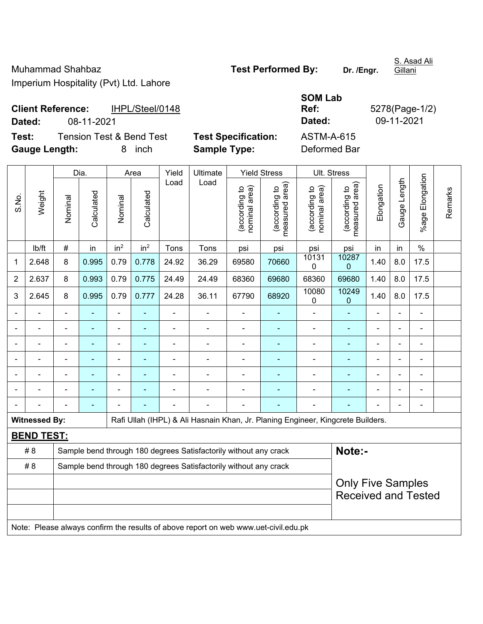Muhammad Shahbaz **Test Performed By:** Dr. /Engr. Imperium Hospitality (Pvt) Ltd. Lahore

S. Asad Ali

**Client Reference:** IHPL/Steel/0148 **Dated:** 08-11-2021 **Dated:** 09-11-2021

**Test:** Tension Test & Bend Test **Test Specification:** ASTM-A-615 **Gauge Length:** 8 inch **Sample Type:** Deformed Bar

**SOM Lab** 

|                | Weight               |   | Dia.  | Area                                                                                                    |                          | Yield<br>Load                  | Ultimate                                                                            |                                | <b>Yield Stress</b>             |                      | Ult. Stress              |                          |                |                            |  |
|----------------|----------------------|---|-------|---------------------------------------------------------------------------------------------------------|--------------------------|--------------------------------|-------------------------------------------------------------------------------------|--------------------------------|---------------------------------|----------------------|--------------------------|--------------------------|----------------|----------------------------|--|
| S.No.          |                      |   |       | Calculated<br>Calculated<br>Nominal<br>Nominal<br>in <sup>2</sup><br>in <sup>2</sup><br>#<br>in<br>Tons | Load                     | (according to<br>nominal area) | (according to<br>measured area)                                                     | (according to<br>nominal area) | measured area)<br>(according to | Elongation           | Gauge Length             | Elongation<br>%age I     | Remarks        |                            |  |
|                | lb/ft                |   |       |                                                                                                         |                          |                                | Tons                                                                                | psi                            | psi                             | psi                  | psi                      | in                       | in             | $\%$                       |  |
| 1              | 2.648                | 8 | 0.995 | 0.79                                                                                                    | 0.778                    | 24.92                          | 36.29                                                                               | 69580                          | 70660                           | 10131<br>$\mathbf 0$ | 10287<br>$\mathbf 0$     | 1.40                     | 8.0            | 17.5                       |  |
| $\overline{2}$ | 2.637                | 8 | 0.993 | 0.79                                                                                                    | 0.775                    | 24.49                          | 24.49                                                                               | 68360                          | 69680                           | 68360                | 69680                    | 1.40                     | 8.0            | 17.5                       |  |
| 3              | 2.645                | 8 | 0.995 | 0.79                                                                                                    | 0.777                    | 24.28                          | 36.11                                                                               | 67790                          | 68920                           | 10080<br>0           | 10249<br>0               | 1.40                     | 8.0            | 17.5                       |  |
|                |                      |   |       |                                                                                                         |                          |                                |                                                                                     |                                |                                 |                      |                          |                          |                |                            |  |
|                |                      |   |       |                                                                                                         |                          |                                |                                                                                     |                                |                                 | $\blacksquare$       |                          |                          |                |                            |  |
|                | $\blacksquare$       |   |       |                                                                                                         | $\overline{\phantom{0}}$ |                                |                                                                                     |                                | ۳                               | $\blacksquare$       |                          | L,                       | $\blacksquare$ |                            |  |
|                |                      |   |       |                                                                                                         |                          |                                |                                                                                     |                                | ۳                               | $\blacksquare$       |                          | ä,                       | $\blacksquare$ | $\blacksquare$             |  |
|                |                      |   | ۰     | $\blacksquare$                                                                                          |                          | $\blacksquare$                 | $\blacksquare$                                                                      | $\blacksquare$                 | ÷,                              | $\blacksquare$       | $\overline{\phantom{a}}$ | L,                       | $\blacksquare$ | $\blacksquare$             |  |
|                |                      |   |       |                                                                                                         |                          |                                |                                                                                     |                                | ä,                              | $\blacksquare$       |                          | L,                       | $\blacksquare$ | $\blacksquare$             |  |
|                |                      |   |       |                                                                                                         |                          |                                |                                                                                     |                                |                                 |                      |                          |                          |                |                            |  |
|                | <b>Witnessed By:</b> |   |       |                                                                                                         |                          |                                | Rafi Ullah (IHPL) & Ali Hasnain Khan, Jr. Planing Engineer, Kingcrete Builders.     |                                |                                 |                      |                          |                          |                |                            |  |
|                | <b>BEND TEST:</b>    |   |       |                                                                                                         |                          |                                |                                                                                     |                                |                                 |                      |                          |                          |                |                            |  |
|                | # 8                  |   |       |                                                                                                         |                          |                                | Sample bend through 180 degrees Satisfactorily without any crack                    |                                |                                 |                      | Note:-                   |                          |                |                            |  |
|                | # 8                  |   |       |                                                                                                         |                          |                                | Sample bend through 180 degrees Satisfactorily without any crack                    |                                |                                 |                      |                          |                          |                |                            |  |
|                |                      |   |       |                                                                                                         |                          |                                |                                                                                     |                                |                                 |                      |                          | <b>Only Five Samples</b> |                | <b>Received and Tested</b> |  |
|                |                      |   |       |                                                                                                         |                          |                                | Note: Please always confirm the results of above report on web www.uet-civil.edu.pk |                                |                                 |                      |                          |                          |                |                            |  |

**Ref:** 5278(Page-1/2)

**Gillani**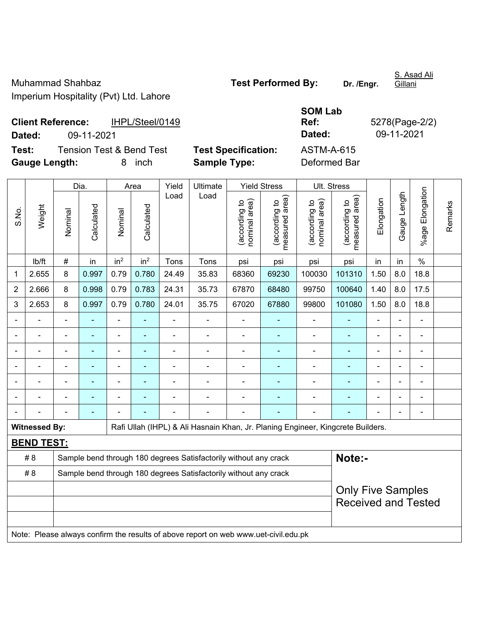Muhammad Shahbaz **Test Performed By:** Dr. /Engr. Imperium Hospitality (Pvt) Ltd. Lahore

**Gillani** 

S. Asad Ali

**Client Reference:** IHPL/Steel/0149 **Dated:** 09-11-2021 **Dated:** 09-11-2021 **Test:** Tension Test & Bend Test **Test Specification:** ASTM-A-615

**Ref:** 5278(Page-2/2)

**SOM Lab** 

**Gauge Length:** 8 inch **Sample Type:** Deformed Bar

 $\top$ 

|                |                                                                                                         | Dia.    |            | Area            |                          | Yield | Ultimate |                                            | <b>Yield Stress</b>                | Ult. Stress                    |                                 |            |              |                 |         |
|----------------|---------------------------------------------------------------------------------------------------------|---------|------------|-----------------|--------------------------|-------|----------|--------------------------------------------|------------------------------------|--------------------------------|---------------------------------|------------|--------------|-----------------|---------|
| S.No.          | Weight                                                                                                  | Nominal | Calculated | Nominal         | Calculated               | Load  | Load     | area)<br><u>م</u><br>(according<br>nominal | area)<br>(according to<br>measured | nominal area)<br>(according to | measured area)<br>(according to | Elongation | Gauge Length | %age Elongation | Remarks |
|                | lb/ft                                                                                                   | $\#$    | in         | in <sup>2</sup> | in <sup>2</sup>          | Tons  | Tons     | psi                                        | psi                                | psi                            | psi                             | in         | in           | $\%$            |         |
| 1              | 2.655                                                                                                   | 8       | 0.997      | 0.79            | 0.780                    | 24.49 | 35.83    | 68360                                      | 69230                              | 100030                         | 101310                          | 1.50       | 8.0          | 18.8            |         |
| $\overline{2}$ | 2.666                                                                                                   | 8       | 0.998      | 0.79            | 0.783                    | 24.31 | 35.73    | 67870                                      | 68480                              | 99750                          | 100640                          | 1.40       | 8.0          | 17.5            |         |
| $\mathbf{3}$   | 2.653                                                                                                   | 8       | 0.997      | 0.79            | 0.780                    | 24.01 | 35.75    | 67020                                      | 67880                              | 99800                          | 101080                          | 1.50       | 8.0          | 18.8            |         |
|                |                                                                                                         |         |            |                 |                          |       |          |                                            |                                    |                                |                                 |            |              |                 |         |
|                |                                                                                                         |         |            | $\blacksquare$  | $\overline{\phantom{0}}$ | -     |          |                                            |                                    |                                |                                 |            |              | $\blacksquare$  |         |
|                |                                                                                                         |         |            | ۰               |                          |       |          |                                            |                                    |                                |                                 |            |              | ۰               |         |
|                |                                                                                                         |         |            |                 |                          |       |          |                                            |                                    |                                |                                 |            |              |                 |         |
|                |                                                                                                         |         |            |                 |                          |       |          |                                            |                                    |                                |                                 |            |              |                 |         |
|                |                                                                                                         |         |            |                 |                          |       |          |                                            |                                    |                                |                                 |            |              |                 |         |
|                |                                                                                                         |         |            |                 |                          |       |          |                                            |                                    |                                |                                 |            |              |                 |         |
|                | <b>Witnessed By:</b><br>Rafi Ullah (IHPL) & Ali Hasnain Khan, Jr. Planing Engineer, Kingcrete Builders. |         |            |                 |                          |       |          |                                            |                                    |                                |                                 |            |              |                 |         |
|                | <b>BEND TEST:</b>                                                                                       |         |            |                 |                          |       |          |                                            |                                    |                                |                                 |            |              |                 |         |

| #8  | Sample bend through 180 degrees Satisfactorily without any crack                    | Note:-                     |  |  |  |  |  |  |  |  |  |  |  |
|-----|-------------------------------------------------------------------------------------|----------------------------|--|--|--|--|--|--|--|--|--|--|--|
| # 8 | Sample bend through 180 degrees Satisfactorily without any crack                    |                            |  |  |  |  |  |  |  |  |  |  |  |
|     |                                                                                     | <b>Only Five Samples</b>   |  |  |  |  |  |  |  |  |  |  |  |
|     |                                                                                     | <b>Received and Tested</b> |  |  |  |  |  |  |  |  |  |  |  |
|     |                                                                                     |                            |  |  |  |  |  |  |  |  |  |  |  |
|     | Note: Please always confirm the results of above report on web www.uet-civil.edu.pk |                            |  |  |  |  |  |  |  |  |  |  |  |